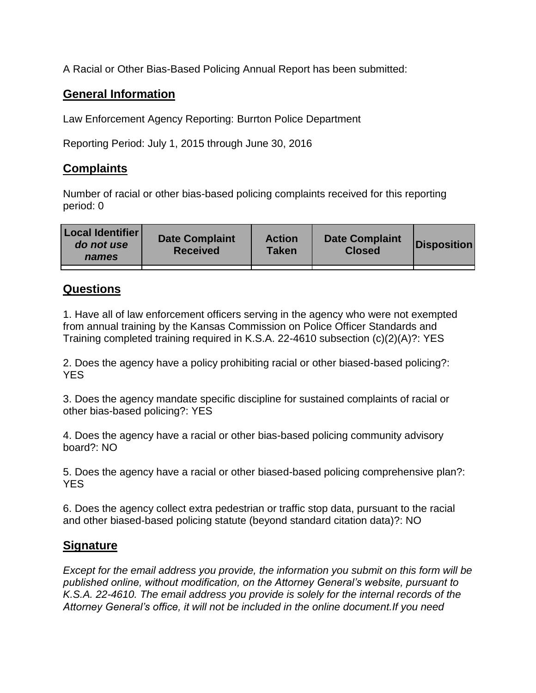A Racial or Other Bias-Based Policing Annual Report has been submitted:

## **General Information**

Law Enforcement Agency Reporting: Burrton Police Department

Reporting Period: July 1, 2015 through June 30, 2016

## **Complaints**

Number of racial or other bias-based policing complaints received for this reporting period: 0

| <b>Local Identifier</b><br>do not use<br>names | <b>Date Complaint</b><br><b>Received</b> | <b>Action</b><br><b>Taken</b> | <b>Date Complaint</b><br><b>Closed</b> | Disposition |
|------------------------------------------------|------------------------------------------|-------------------------------|----------------------------------------|-------------|
|                                                |                                          |                               |                                        |             |

## **Questions**

1. Have all of law enforcement officers serving in the agency who were not exempted from annual training by the Kansas Commission on Police Officer Standards and Training completed training required in K.S.A. 22-4610 subsection (c)(2)(A)?: YES

2. Does the agency have a policy prohibiting racial or other biased-based policing?: YES

3. Does the agency mandate specific discipline for sustained complaints of racial or other bias-based policing?: YES

4. Does the agency have a racial or other bias-based policing community advisory board?: NO

5. Does the agency have a racial or other biased-based policing comprehensive plan?: YES

6. Does the agency collect extra pedestrian or traffic stop data, pursuant to the racial and other biased-based policing statute (beyond standard citation data)?: NO

## **Signature**

*Except for the email address you provide, the information you submit on this form will be published online, without modification, on the Attorney General's website, pursuant to K.S.A. 22-4610. The email address you provide is solely for the internal records of the Attorney General's office, it will not be included in the online document.If you need*